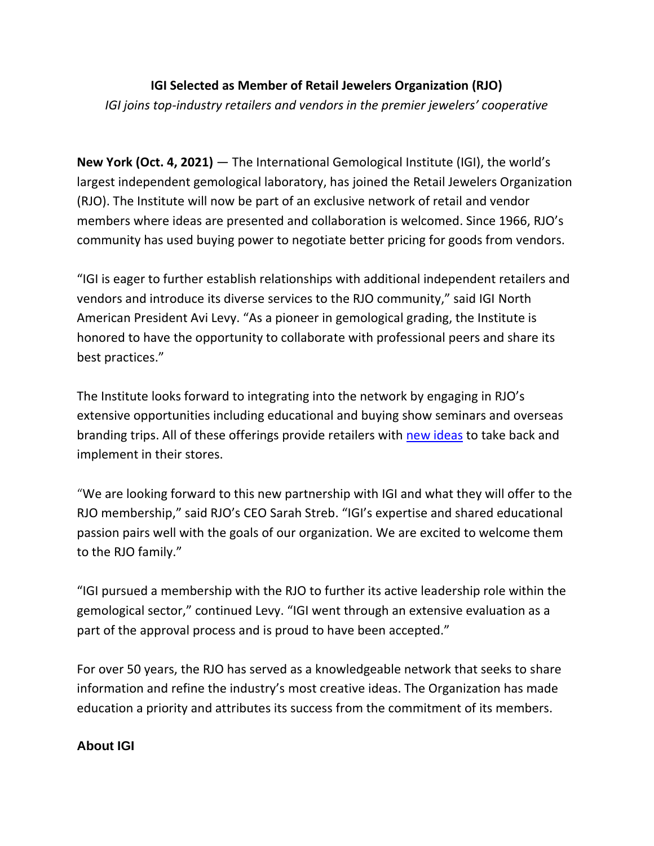## **IGI Selected as Member of Retail Jewelers Organization (RJO)** *IGI joins top-industry retailers and vendors in the premier jewelers' cooperative*

**New York (Oct. 4, 2021)** — The International Gemological Institute (IGI), the world's largest independent gemological laboratory, has joined the Retail Jewelers Organization (RJO). The Institute will now be part of an exclusive network of retail and vendor members where ideas are presented and collaboration is welcomed. Since 1966, RJO's community has used buying power to negotiate better pricing for goods from vendors.

"IGI is eager to further establish relationships with additional independent retailers and vendors and introduce its diverse services to the RJO community," said IGI North American President Avi Levy. "As a pioneer in gemological grading, the Institute is honored to have the opportunity to collaborate with professional peers and share its best practices."

The Institute looks forward to integrating into the network by engaging in RJO's extensive opportunities including educational and buying show seminars and overseas branding trips. All of these offerings provide retailers with [new ideas](https://www.rjomembers.com/retailers/benefitsservices/seminars) to take back and implement in their stores.

"We are looking forward to this new partnership with IGI and what they will offer to the RJO membership," said RJO's CEO Sarah Streb. "IGI's expertise and shared educational passion pairs well with the goals of our organization. We are excited to welcome them to the RJO family."

"IGI pursued a membership with the RJO to further its active leadership role within the gemological sector," continued Levy. "IGI went through an extensive evaluation as a part of the approval process and is proud to have been accepted."

For over 50 years, the RJO has served as a knowledgeable network that seeks to share information and refine the industry's most creative ideas. The Organization has made education a priority and attributes its success from the commitment of its members.

## **About IGI**